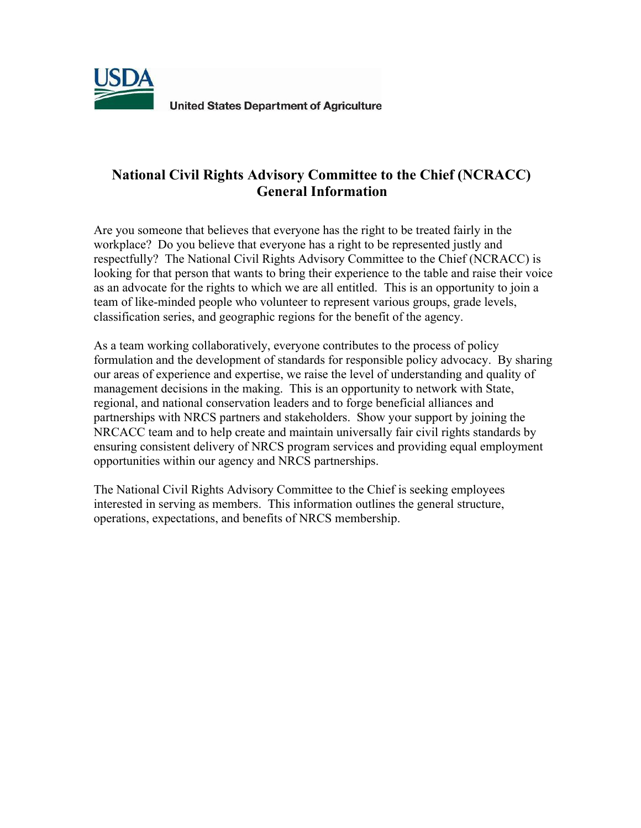

**United States Department of Agriculture** 

# **National Civil Rights Advisory Committee to the Chief (NCRACC) General Information**

Are you someone that believes that everyone has the right to be treated fairly in the workplace? Do you believe that everyone has a right to be represented justly and respectfully? The National Civil Rights Advisory Committee to the Chief (NCRACC) is looking for that person that wants to bring their experience to the table and raise their voice as an advocate for the rights to which we are all entitled. This is an opportunity to join a team of like‐minded people who volunteer to represent various groups, grade levels, classification series, and geographic regions for the benefit of the agency.

As a team working collaboratively, everyone contributes to the process of policy formulation and the development of standards for responsible policy advocacy. By sharing our areas of experience and expertise, we raise the level of understanding and quality of management decisions in the making. This is an opportunity to network with State, regional, and national conservation leaders and to forge beneficial alliances and partnerships with NRCS partners and stakeholders. Show your support by joining the NRCACC team and to help create and maintain universally fair civil rights standards by ensuring consistent delivery of NRCS program services and providing equal employment opportunities within our agency and NRCS partnerships.

The National Civil Rights Advisory Committee to the Chief is seeking employees interested in serving as members. This information outlines the general structure, operations, expectations, and benefits of NRCS membership.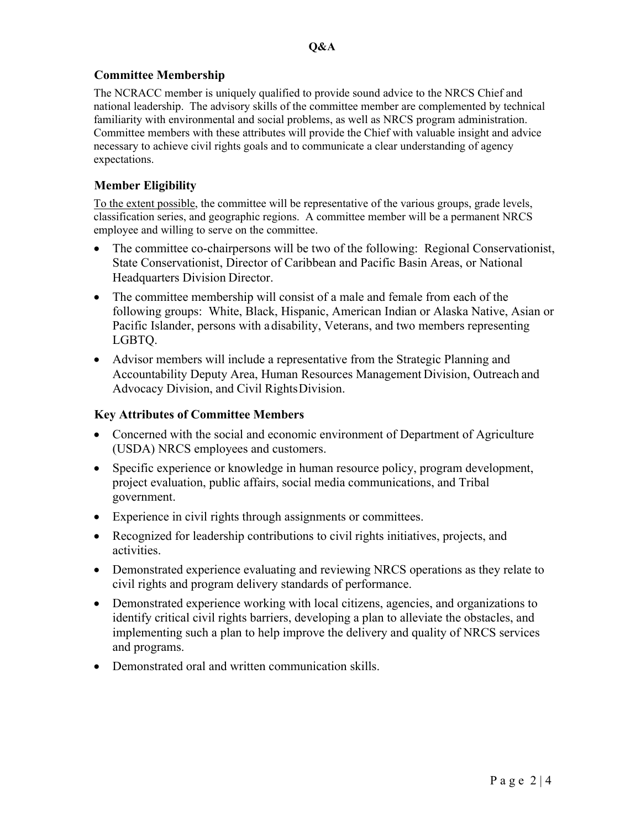# **Committee Membership**

The NCRACC member is uniquely qualified to provide sound advice to the NRCS Chief and national leadership. The advisory skills of the committee member are complemented by technical familiarity with environmental and social problems, as well as NRCS program administration. Committee members with these attributes will provide the Chief with valuable insight and advice necessary to achieve civil rights goals and to communicate a clear understanding of agency expectations.

# **Member Eligibility**

To the extent possible, the committee will be representative of the various groups, grade levels, classification series, and geographic regions. A committee member will be a permanent NRCS employee and willing to serve on the committee.

- The committee co-chairpersons will be two of the following: Regional Conservationist, State Conservationist, Director of Caribbean and Pacific Basin Areas, or National Headquarters Division Director.
- The committee membership will consist of a male and female from each of the following groups: White, Black, Hispanic, American Indian or Alaska Native, Asian or Pacific Islander, persons with adisability, Veterans, and two members representing LGBTQ.
- Advisor members will include a representative from the Strategic Planning and Accountability Deputy Area, Human Resources Management Division, Outreach and Advocacy Division, and Civil RightsDivision.

## **Key Attributes of Committee Members**

- Concerned with the social and economic environment of Department of Agriculture (USDA) NRCS employees and customers.
- Specific experience or knowledge in human resource policy, program development, project evaluation, public affairs, social media communications, and Tribal government.
- Experience in civil rights through assignments or committees.
- Recognized for leadership contributions to civil rights initiatives, projects, and activities.
- Demonstrated experience evaluating and reviewing NRCS operations as they relate to civil rights and program delivery standards of performance.
- Demonstrated experience working with local citizens, agencies, and organizations to identify critical civil rights barriers, developing a plan to alleviate the obstacles, and implementing such a plan to help improve the delivery and quality of NRCS services and programs.
- Demonstrated oral and written communication skills.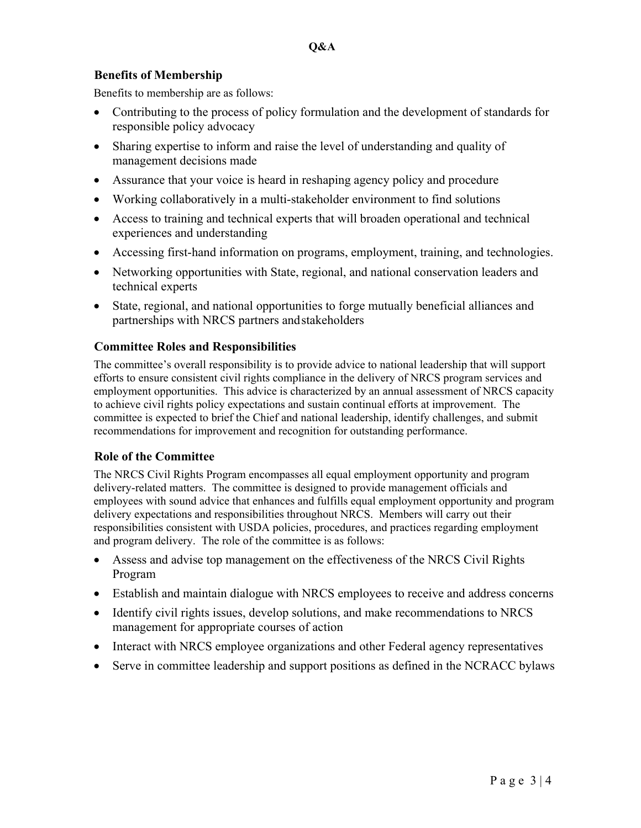## **Benefits of Membership**

Benefits to membership are as follows:

- Contributing to the process of policy formulation and the development of standards for responsible policy advocacy
- Sharing expertise to inform and raise the level of understanding and quality of management decisions made
- Assurance that your voice is heard in reshaping agency policy and procedure
- Working collaboratively in a multi-stakeholder environment to find solutions
- Access to training and technical experts that will broaden operational and technical experiences and understanding
- Accessing first-hand information on programs, employment, training, and technologies.
- Networking opportunities with State, regional, and national conservation leaders and technical experts
- State, regional, and national opportunities to forge mutually beneficial alliances and partnerships with NRCS partners andstakeholders

# **Committee Roles and Responsibilities**

The committee's overall responsibility is to provide advice to national leadership that will support efforts to ensure consistent civil rights compliance in the delivery of NRCS program services and employment opportunities. This advice is characterized by an annual assessment of NRCS capacity to achieve civil rights policy expectations and sustain continual efforts at improvement. The committee is expected to brief the Chief and national leadership, identify challenges, and submit recommendations for improvement and recognition for outstanding performance.

# **Role of the Committee**

The NRCS Civil Rights Program encompasses all equal employment opportunity and program delivery-related matters. The committee is designed to provide management officials and employees with sound advice that enhances and fulfills equal employment opportunity and program delivery expectations and responsibilities throughout NRCS. Members will carry out their responsibilities consistent with USDA policies, procedures, and practices regarding employment and program delivery. The role of the committee is as follows:

- Assess and advise top management on the effectiveness of the NRCS Civil Rights Program
- Establish and maintain dialogue with NRCS employees to receive and address concerns
- Identify civil rights issues, develop solutions, and make recommendations to NRCS management for appropriate courses of action
- Interact with NRCS employee organizations and other Federal agency representatives
- Serve in committee leadership and support positions as defined in the NCRACC bylaws